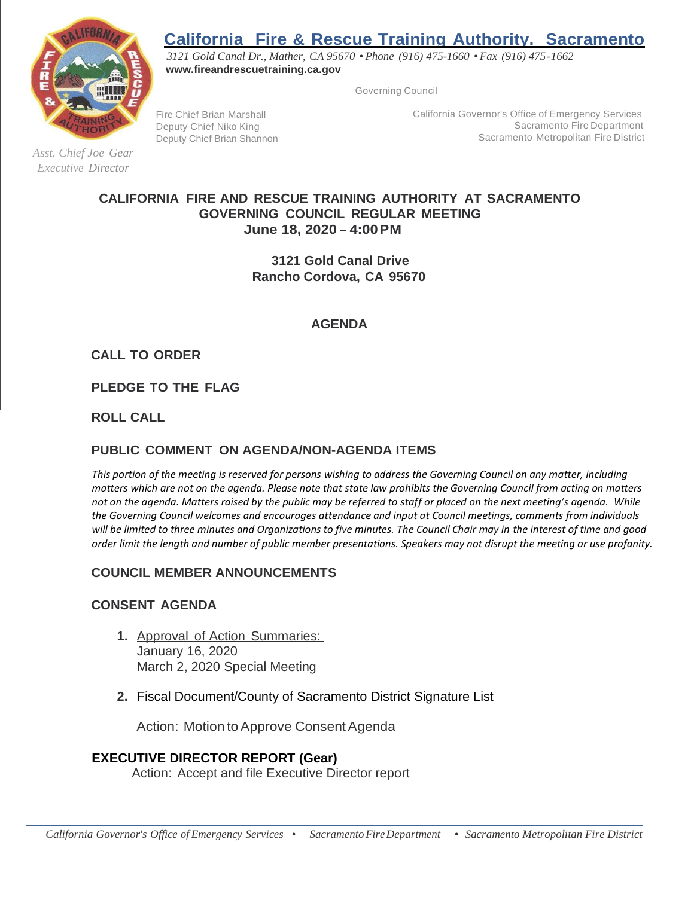# **California Fire & Rescue Training Authority. Sacramento**



*Asst. Chief Joe Gear Executive Director*

*3121 Gold Canal Dr., Mather, CA 95670 • Phone (916) 475-1660 • Fax (916) 475-1662* **[www.fireandrescuetraining.ca.gov](http://www.fireandrescuetraining.ca.gov/)**

Governing Council

Fire Chief Brian Marshall Deputy Chief Niko King Deputy Chief Brian Shannon California Governor's Office of Emergency Services Sacramento Fire Department Sacramento Metropolitan Fire District

## **CALIFORNIA FIRE AND RESCUE TRAINING AUTHORITY AT SACRAMENTO GOVERNING COUNCIL REGULAR MEETING June 18, 2020 -4:00PM**

**3121 Gold Canal Drive Rancho Cordova, CA 95670**

## **AGENDA**

**CALL TO ORDER**

**PLEDGE TO THE FLAG**

**ROLL CALL**

# **PUBLIC COMMENT ON AGENDA/NON-AGENDA ITEMS**

*This portion of the meeting is reserved for persons wishing to address the Governing Council on any matter, including matters which are not on the agenda. Please note that state law prohibits the Governing Council from acting on matters not on the agenda. Matters raised by the public may be referred to staff or placed on the next meeting's agenda. While the Governing Council welcomes and encourages attendance and input at Council meetings, comments from individuals will be limited to three minutes and Organizations to five minutes. The Council Chair may in the interest of time and good order limit the length and number of public member presentations. Speakers may not disrupt the meeting or use profanity.*

# **COUNCIL MEMBER ANNOUNCEMENTS**

## **CONSENT AGENDA**

- **1.** Approval of Action Summaries: January 16, 2020 March 2, 2020 Special Meeting
- **2.** Fiscal Document/County of Sacramento District Signature List

Action: Motion to Approve Consent Agenda

# **EXECUTIVE DIRECTOR REPORT (Gear)**

Action: Accept and file Executive Director report